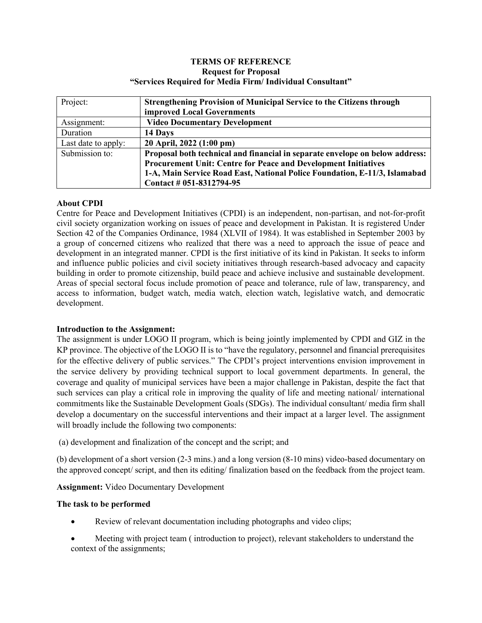### **TERMS OF REFERENCE Request for Proposal "Services Required for Media Firm/ Individual Consultant"**

| Project:            | <b>Strengthening Provision of Municipal Service to the Citizens through</b>  |
|---------------------|------------------------------------------------------------------------------|
|                     | <b>improved Local Governments</b>                                            |
| Assignment:         | <b>Video Documentary Development</b>                                         |
| Duration            | 14 Days                                                                      |
| Last date to apply: | 20 April, 2022 (1:00 pm)                                                     |
| Submission to:      | Proposal both technical and financial in separate envelope on below address: |
|                     | <b>Procurement Unit: Centre for Peace and Development Initiatives</b>        |
|                     | 1-A, Main Service Road East, National Police Foundation, E-11/3, Islamabad   |
|                     | Contact # 051-8312794-95                                                     |

# **About CPDI**

Centre for Peace and Development Initiatives (CPDI) is an independent, non-partisan, and not-for-profit civil society organization working on issues of peace and development in Pakistan. It is registered Under Section 42 of the Companies Ordinance, 1984 (XLVII of 1984). It was established in September 2003 by a group of concerned citizens who realized that there was a need to approach the issue of peace and development in an integrated manner. CPDI is the first initiative of its kind in Pakistan. It seeks to inform and influence public policies and civil society initiatives through research-based advocacy and capacity building in order to promote citizenship, build peace and achieve inclusive and sustainable development. Areas of special sectoral focus include promotion of peace and tolerance, rule of law, transparency, and access to information, budget watch, media watch, election watch, legislative watch, and democratic development.

### **Introduction to the Assignment:**

The assignment is under LOGO II program, which is being jointly implemented by CPDI and GIZ in the KP province. The objective of the LOGO II is to "have the regulatory, personnel and financial prerequisites for the effective delivery of public services." The CPDI's project interventions envision improvement in the service delivery by providing technical support to local government departments. In general, the coverage and quality of municipal services have been a major challenge in Pakistan, despite the fact that such services can play a critical role in improving the quality of life and meeting national/ international commitments like the Sustainable Development Goals (SDGs). The individual consultant/ media firm shall develop a documentary on the successful interventions and their impact at a larger level. The assignment will broadly include the following two components:

(a) development and finalization of the concept and the script; and

(b) development of a short version (2-3 mins.) and a long version (8-10 mins) video-based documentary on the approved concept/ script, and then its editing/ finalization based on the feedback from the project team.

**Assignment:** Video Documentary Development

### **The task to be performed**

- Review of relevant documentation including photographs and video clips;
- Meeting with project team ( introduction to project), relevant stakeholders to understand the context of the assignments;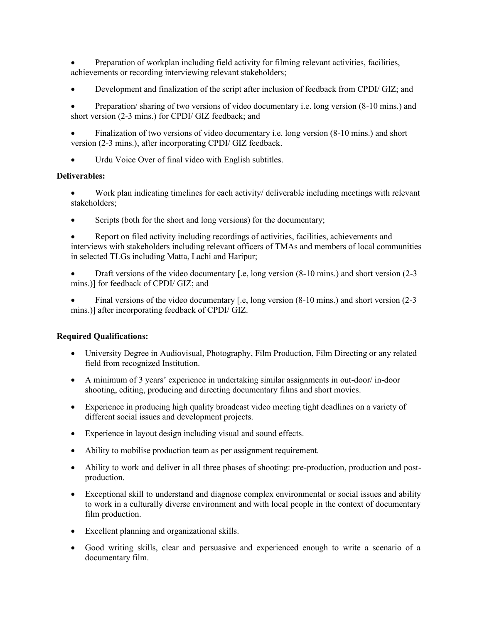- Preparation of workplan including field activity for filming relevant activities, facilities, achievements or recording interviewing relevant stakeholders;
- Development and finalization of the script after inclusion of feedback from CPDI/ GIZ; and

• Preparation/ sharing of two versions of video documentary i.e. long version (8-10 mins.) and short version (2-3 mins.) for CPDI/ GIZ feedback; and

• Finalization of two versions of video documentary i.e. long version (8-10 mins.) and short version (2-3 mins.), after incorporating CPDI/ GIZ feedback.

Urdu Voice Over of final video with English subtitles.

### **Deliverables:**

- Work plan indicating timelines for each activity/ deliverable including meetings with relevant stakeholders;
- Scripts (both for the short and long versions) for the documentary;

• Report on filed activity including recordings of activities, facilities, achievements and interviews with stakeholders including relevant officers of TMAs and members of local communities in selected TLGs including Matta, Lachi and Haripur;

• Draft versions of the video documentary [.e, long version  $(8-10 \text{ mins.})$  and short version  $(2-3)$ mins.)] for feedback of CPDI/ GIZ; and

• Final versions of the video documentary [.e, long version (8-10 mins.) and short version (2-3) mins.)] after incorporating feedback of CPDI/ GIZ.

### **Required Qualifications:**

- University Degree in Audiovisual, Photography, Film Production, Film Directing or any related field from recognized Institution.
- A minimum of 3 years' experience in undertaking similar assignments in out-door/ in-door shooting, editing, producing and directing documentary films and short movies.
- Experience in producing high quality broadcast video meeting tight deadlines on a variety of different social issues and development projects.
- Experience in layout design including visual and sound effects.
- Ability to mobilise production team as per assignment requirement.
- Ability to work and deliver in all three phases of shooting: pre-production, production and postproduction.
- Exceptional skill to understand and diagnose complex environmental or social issues and ability to work in a culturally diverse environment and with local people in the context of documentary film production.
- Excellent planning and organizational skills.
- Good writing skills, clear and persuasive and experienced enough to write a scenario of a documentary film.